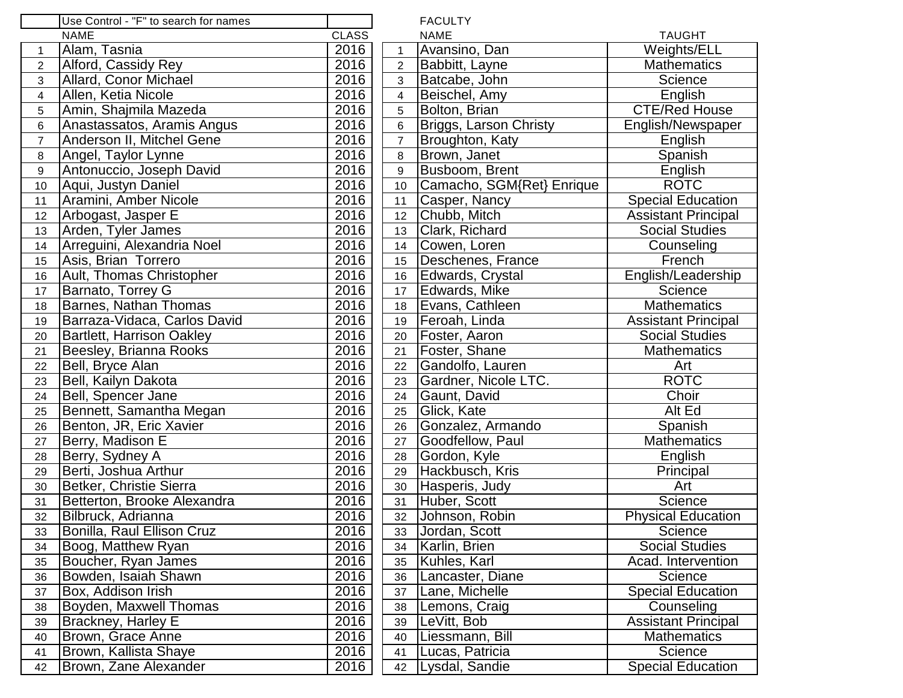|                | Use Control - "F" to search for names |              |                         | <b>FACULTY</b>                |                            |
|----------------|---------------------------------------|--------------|-------------------------|-------------------------------|----------------------------|
|                | <b>NAME</b>                           | <b>CLASS</b> |                         | <b>NAME</b>                   | <b>TAUGHT</b>              |
| $\mathbf 1$    | Alam, Tasnia                          | 2016         | $\mathbf{1}$            | Avansino, Dan                 | Weights/ELL                |
| $\overline{2}$ | Alford, Cassidy Rey                   | 2016         | $\overline{2}$          | Babbitt, Layne                | <b>Mathematics</b>         |
| 3              | <b>Allard, Conor Michael</b>          | 2016         | 3                       | Batcabe, John                 | Science                    |
| 4              | Allen, Ketia Nicole                   | 2016         | $\overline{\mathbf{4}}$ | Beischel, Amy                 | English                    |
| 5              | Amin, Shajmila Mazeda                 | 2016         | 5                       | Bolton, Brian                 | <b>CTE/Red House</b>       |
| 6              | Anastassatos, Aramis Angus            | 2016         | 6                       | <b>Briggs, Larson Christy</b> | English/Newspaper          |
| $\overline{7}$ | Anderson II, Mitchel Gene             | 2016         | $\overline{7}$          | Broughton, Katy               | English                    |
| 8              | Angel, Taylor Lynne                   | 2016         | 8                       | Brown, Janet                  | Spanish                    |
| 9              | Antonuccio, Joseph David              | 2016         | $\boldsymbol{9}$        | Busboom, Brent                | English                    |
| 10             | Aqui, Justyn Daniel                   | 2016         | 10                      | Camacho, SGM{Ret} Enrique     | <b>ROTC</b>                |
| 11             | Aramini, Amber Nicole                 | 2016         | 11                      | Casper, Nancy                 | <b>Special Education</b>   |
| 12             | Arbogast, Jasper E                    | 2016         | 12                      | Chubb, Mitch                  | <b>Assistant Principal</b> |
| 13             | Arden, Tyler James                    | 2016         | 13                      | Clark, Richard                | <b>Social Studies</b>      |
| 14             | Arreguini, Alexandria Noel            | 2016         | 14                      | Cowen, Loren                  | Counseling                 |
| 15             | Asis, Brian Torrero                   | 2016         | 15                      | Deschenes, France             | French                     |
| 16             | Ault, Thomas Christopher              | 2016         | 16                      | Edwards, Crystal              | English/Leadership         |
| 17             | Barnato, Torrey G                     | 2016         | 17                      | Edwards, Mike                 | Science                    |
| 18             | <b>Barnes, Nathan Thomas</b>          | 2016         | 18                      | Evans, Cathleen               | <b>Mathematics</b>         |
| 19             | Barraza-Vidaca, Carlos David          | 2016         | 19                      | Feroah, Linda                 | <b>Assistant Principal</b> |
| 20             | <b>Bartlett, Harrison Oakley</b>      | 2016         | 20                      | Foster, Aaron                 | <b>Social Studies</b>      |
| 21             | Beesley, Brianna Rooks                | 2016         | 21                      | Foster, Shane                 | <b>Mathematics</b>         |
| 22             | Bell, Bryce Alan                      | 2016         | 22                      | Gandolfo, Lauren              | Art                        |
| 23             | Bell, Kailyn Dakota                   | 2016         | 23                      | Gardner, Nicole LTC.          | <b>ROTC</b>                |
| 24             | Bell, Spencer Jane                    | 2016         | 24                      | Gaunt, David                  | Choir                      |
| 25             | Bennett, Samantha Megan               | 2016         | 25                      | Glick, Kate                   | Alt Ed                     |
| 26             | Benton, JR, Eric Xavier               | 2016         | 26                      | Gonzalez, Armando             | Spanish                    |
| 27             | Berry, Madison E                      | 2016         | 27                      | Goodfellow, Paul              | <b>Mathematics</b>         |
| 28             | Berry, Sydney A                       | 2016         | 28                      | Gordon, Kyle                  | English                    |
| 29             | Berti, Joshua Arthur                  | 2016         | 29                      | Hackbusch, Kris               | Principal                  |
| 30             | Betker, Christie Sierra               | 2016         | 30                      | Hasperis, Judy                | Art                        |
| 31             | Betterton, Brooke Alexandra           | 2016         | 31                      | Huber, Scott                  | Science                    |
| 32             | Bilbruck, Adrianna                    | 2016         | 32                      | Johnson, Robin                | <b>Physical Education</b>  |
| 33             | Bonilla, Raul Ellison Cruz            | 2016         | 33                      | Jordan, Scott                 | Science                    |
| 34             | Boog, Matthew Ryan                    | 2016         | 34                      | Karlin, Brien                 | <b>Social Studies</b>      |
| 35             | Boucher, Ryan James                   | 2016         | 35                      | Kuhles, Karl                  | Acad. Intervention         |
| 36             | Bowden, Isaiah Shawn                  | 2016         | 36                      | Lancaster, Diane              | Science                    |
| 37             | Box, Addison Irish                    | 2016         | 37                      | Lane, Michelle                | <b>Special Education</b>   |
| 38             | Boyden, Maxwell Thomas                | 2016         | 38                      | Lemons, Craig                 | Counseling                 |
| 39             | <b>Brackney, Harley E</b>             | 2016         | 39                      | LeVitt, Bob                   | <b>Assistant Principal</b> |
| 40             | Brown, Grace Anne                     | 2016         | 40                      | Liessmann, Bill               | <b>Mathematics</b>         |
| 41             | Brown, Kallista Shaye                 | 2016         | 41                      | Lucas, Patricia               | Science                    |
| 42             | Brown, Zane Alexander                 | 2016         | 42                      | Lysdal, Sandie                | <b>Special Education</b>   |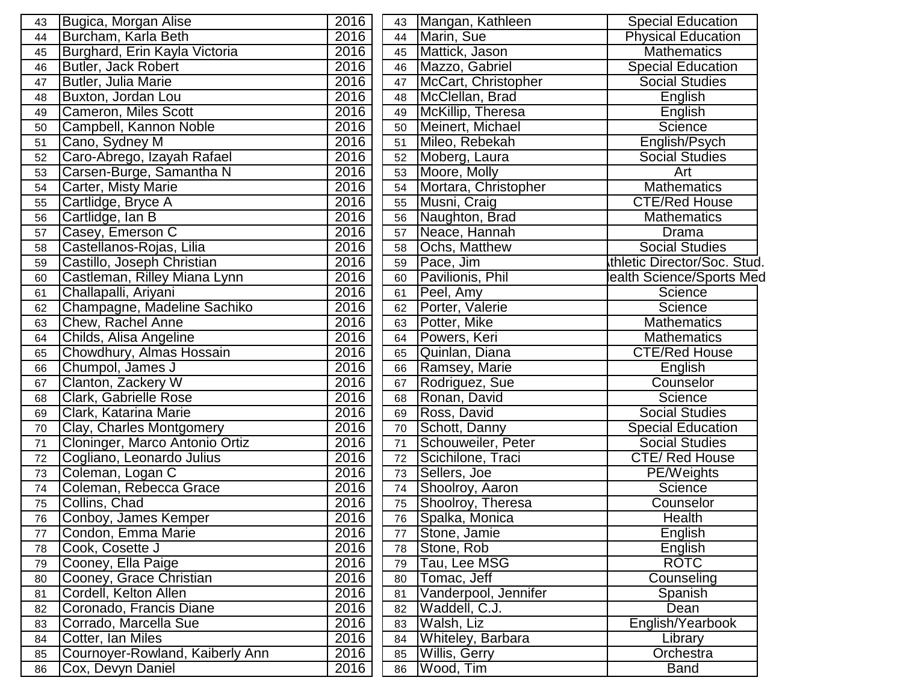| 43 | Bugica, Morgan Alise            | 2016 | 43 | Mangan, Kathleen     | Special Education           |
|----|---------------------------------|------|----|----------------------|-----------------------------|
| 44 | Burcham, Karla Beth             | 2016 | 44 | Marin, Sue           | <b>Physical Education</b>   |
| 45 | Burghard, Erin Kayla Victoria   | 2016 | 45 | Mattick, Jason       | <b>Mathematics</b>          |
| 46 | Butler, Jack Robert             | 2016 | 46 | Mazzo, Gabriel       | <b>Special Education</b>    |
| 47 | <b>Butler, Julia Marie</b>      | 2016 | 47 | McCart, Christopher  | <b>Social Studies</b>       |
| 48 | Buxton, Jordan Lou              | 2016 | 48 | McClellan, Brad      | English                     |
| 49 | Cameron, Miles Scott            | 2016 | 49 | McKillip, Theresa    | English                     |
| 50 | Campbell, Kannon Noble          | 2016 | 50 | Meinert, Michael     | Science                     |
| 51 | Cano, Sydney M                  | 2016 | 51 | Mileo, Rebekah       | English/Psych               |
| 52 | Caro-Abrego, Izayah Rafael      | 2016 | 52 | Moberg, Laura        | <b>Social Studies</b>       |
| 53 | Carsen-Burge, Samantha N        | 2016 | 53 | Moore, Molly         | Art                         |
| 54 | Carter, Misty Marie             | 2016 | 54 | Mortara, Christopher | <b>Mathematics</b>          |
| 55 | Cartlidge, Bryce A              | 2016 | 55 | Musni, Craig         | <b>CTE/Red House</b>        |
| 56 | Cartlidge, Ian B                | 2016 | 56 | Naughton, Brad       | <b>Mathematics</b>          |
| 57 | Casey, Emerson C                | 2016 | 57 | Neace, Hannah        | Drama                       |
| 58 | Castellanos-Rojas, Lilia        | 2016 | 58 | Ochs, Matthew        | <b>Social Studies</b>       |
| 59 | Castillo, Joseph Christian      | 2016 | 59 | Pace, Jim            | thletic Director/Soc. Stud. |
| 60 | Castleman, Rilley Miana Lynn    | 2016 | 60 | Pavilionis, Phil     | ealth Science/Sports Med    |
| 61 | Challapalli, Ariyani            | 2016 | 61 | Peel, Amy            | Science                     |
| 62 | Champagne, Madeline Sachiko     | 2016 | 62 | Porter, Valerie      | Science                     |
| 63 | Chew, Rachel Anne               | 2016 | 63 | Potter, Mike         | <b>Mathematics</b>          |
| 64 | Childs, Alisa Angeline          | 2016 | 64 | Powers, Keri         | <b>Mathematics</b>          |
| 65 | Chowdhury, Almas Hossain        | 2016 | 65 | Quinlan, Diana       | <b>CTE/Red House</b>        |
| 66 | Chumpol, James J                | 2016 | 66 | Ramsey, Marie        | English                     |
| 67 | Clanton, Zackery W              | 2016 | 67 | Rodriguez, Sue       | Counselor                   |
| 68 | Clark, Gabrielle Rose           | 2016 | 68 | Ronan, David         | Science                     |
| 69 | Clark, Katarina Marie           | 2016 | 69 | Ross, David          | <b>Social Studies</b>       |
| 70 | Clay, Charles Montgomery        | 2016 | 70 | Schott, Danny        | <b>Special Education</b>    |
| 71 | Cloninger, Marco Antonio Ortiz  | 2016 | 71 | Schouweiler, Peter   | <b>Social Studies</b>       |
| 72 | Cogliano, Leonardo Julius       | 2016 | 72 | Scichilone, Traci    | <b>CTE/Red House</b>        |
| 73 | Coleman, Logan C                | 2016 | 73 | Sellers, Joe         | <b>PE/Weights</b>           |
| 74 | Coleman, Rebecca Grace          | 2016 | 74 | Shoolroy, Aaron      | Science                     |
| 75 | Collins, Chad                   | 2016 | 75 | Shoolroy, Theresa    | Counselor                   |
| 76 | Conboy, James Kemper            | 2016 | 76 | Spalka, Monica       | Health                      |
| 77 | Condon, Emma Marie              | 2016 | 77 | Stone, Jamie         | English                     |
| 78 | Cook, Cosette J                 | 2016 | 78 | Stone, Rob           | English                     |
| 79 | Cooney, Ella Paige              | 2016 | 79 | Tau, Lee MSG         | <b>ROTC</b>                 |
| 80 | Cooney, Grace Christian         | 2016 | 80 | Tomac, Jeff          | Counseling                  |
| 81 | Cordell, Kelton Allen           | 2016 | 81 | Vanderpool, Jennifer | Spanish                     |
| 82 | Coronado, Francis Diane         | 2016 | 82 | Waddell, C.J.        | Dean                        |
| 83 | Corrado, Marcella Sue           | 2016 | 83 | Walsh, Liz           | English/Yearbook            |
| 84 | Cotter, Ian Miles               | 2016 | 84 | Whiteley, Barbara    | Library                     |
| 85 | Cournoyer-Rowland, Kaiberly Ann | 2016 | 85 | Willis, Gerry        | Orchestra                   |
| 86 | Cox, Devyn Daniel               | 2016 | 86 | Wood, Tim            | <b>Band</b>                 |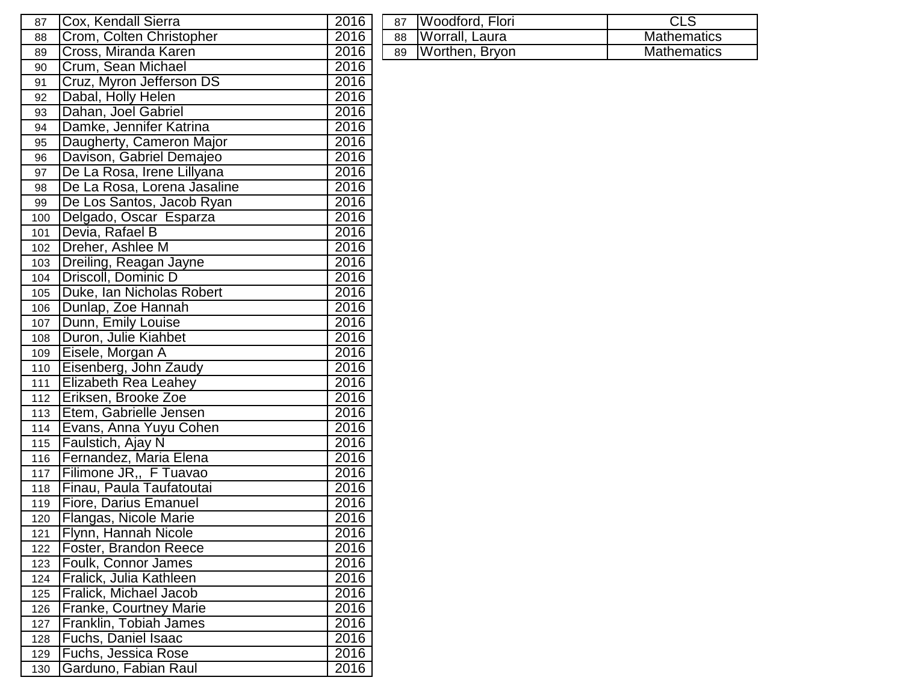| 87  | Cox, Kendall Sierra           | 2016 | Woodford, Flori<br>87        | CLS                |
|-----|-------------------------------|------|------------------------------|--------------------|
| 88  | Crom, Colten Christopher      | 2016 | <b>Worrall</b> , Laura<br>88 | <b>Mathematics</b> |
| 89  | Cross, Miranda Karen          | 2016 | Worthen, Bryon<br>89         | <b>Mathematics</b> |
| 90  | Crum, Sean Michael            | 2016 |                              |                    |
| 91  | Cruz, Myron Jefferson DS      | 2016 |                              |                    |
| 92  | Dabal, Holly Helen            | 2016 |                              |                    |
| 93  | Dahan, Joel Gabriel           | 2016 |                              |                    |
| 94  | Damke, Jennifer Katrina       | 2016 |                              |                    |
| 95  | Daugherty, Cameron Major      | 2016 |                              |                    |
| 96  | Davison, Gabriel Demajeo      | 2016 |                              |                    |
| 97  | De La Rosa, Irene Lillyana    | 2016 |                              |                    |
| 98  | De La Rosa, Lorena Jasaline   | 2016 |                              |                    |
| 99  | De Los Santos, Jacob Ryan     | 2016 |                              |                    |
| 100 | Delgado, Oscar Esparza        | 2016 |                              |                    |
| 101 | Devia, Rafael B               | 2016 |                              |                    |
| 102 | Dreher, Ashlee M              | 2016 |                              |                    |
| 103 | Dreiling, Reagan Jayne        | 2016 |                              |                    |
| 104 | Driscoll, Dominic D           | 2016 |                              |                    |
| 105 | Duke, Ian Nicholas Robert     | 2016 |                              |                    |
| 106 | Dunlap, Zoe Hannah            | 2016 |                              |                    |
|     | 107   Dunn, Emily Louise      | 2016 |                              |                    |
|     | 108   Duron, Julie Kiahbet    | 2016 |                              |                    |
|     | 109 Eisele, Morgan A          | 2016 |                              |                    |
|     | 110 Eisenberg, John Zaudy     | 2016 |                              |                    |
| 111 | <b>Elizabeth Rea Leahey</b>   | 2016 |                              |                    |
|     | 112   Eriksen, Brooke Zoe     | 2016 |                              |                    |
| 113 | Etem, Gabrielle Jensen        | 2016 |                              |                    |
|     | 114   Evans, Anna Yuyu Cohen  | 2016 |                              |                    |
|     | 115 Faulstich, Ajay N         | 2016 |                              |                    |
|     | 116   Fernandez, Maria Elena  | 2016 |                              |                    |
|     | 117 Filimone JR,, F Tuavao    | 2016 |                              |                    |
|     | 118 Finau, Paula Taufatoutai  | 2016 |                              |                    |
| 119 | Fiore, Darius Emanuel         | 2016 |                              |                    |
|     | 120 Flangas, Nicole Marie     | 2016 |                              |                    |
| 121 | <b>Flynn, Hannah Nicole</b>   | 2016 |                              |                    |
| 122 | <b>Foster, Brandon Reece</b>  | 2016 |                              |                    |
| 123 | <b>Foulk, Connor James</b>    | 2016 |                              |                    |
| 124 | Fralick, Julia Kathleen       | 2016 |                              |                    |
| 125 | Fralick, Michael Jacob        | 2016 |                              |                    |
| 126 | <b>Franke, Courtney Marie</b> | 2016 |                              |                    |
| 127 | Franklin, Tobiah James        | 2016 |                              |                    |
| 128 | <b>Fuchs, Daniel Isaac</b>    | 2016 |                              |                    |
| 129 | <b>Fuchs, Jessica Rose</b>    | 2016 |                              |                    |
| 130 | Garduno, Fabian Raul          | 2016 |                              |                    |

| 87 Woodford, Flori  | <b>CLS</b>         |
|---------------------|--------------------|
| 88   Worrall, Laura | <b>Mathematics</b> |
| 89 Worthen, Bryon   | <b>Mathematics</b> |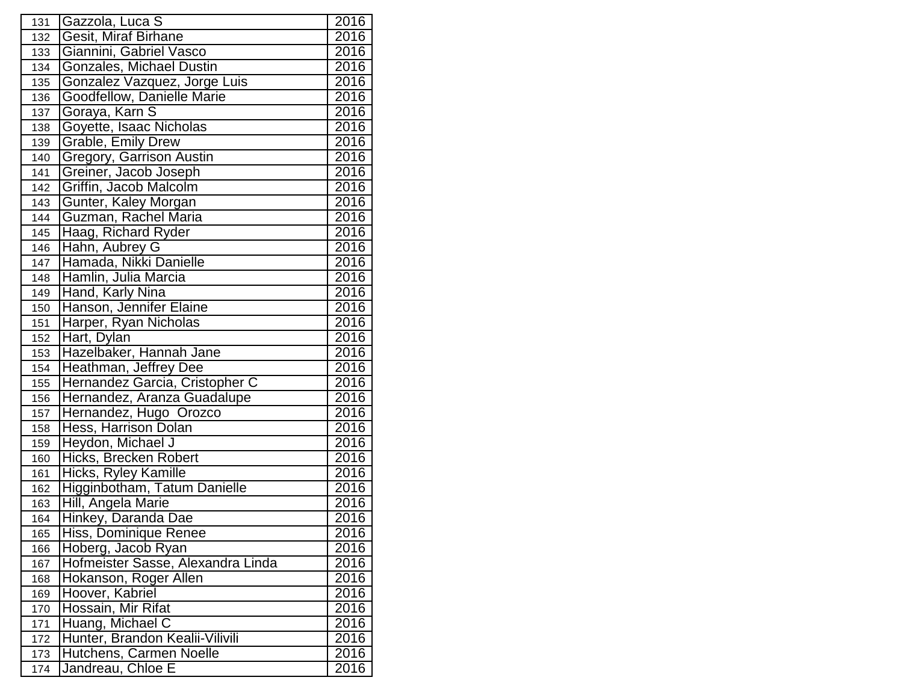| 131 | Gazzola, Luca S                   | 2016 |
|-----|-----------------------------------|------|
| 132 | <b>Gesit, Miraf Birhane</b>       | 2016 |
| 133 | Giannini, Gabriel Vasco           | 2016 |
| 134 | Gonzales, Michael Dustin          | 2016 |
| 135 | Gonzalez Vazquez, Jorge Luis      | 2016 |
| 136 | Goodfellow, Danielle Marie        | 2016 |
| 137 | Goraya, Karn S                    | 2016 |
| 138 | Goyette, Isaac Nicholas           | 2016 |
| 139 | <b>Grable, Emily Drew</b>         | 2016 |
| 140 | Gregory, Garrison Austin          | 2016 |
| 141 | Greiner, Jacob Joseph             | 2016 |
| 142 | Griffin, Jacob Malcolm            | 2016 |
| 143 | Gunter, Kaley Morgan              | 2016 |
| 144 | Guzman, Rachel Maria              | 2016 |
| 145 | Haag, Richard Ryder               | 2016 |
| 146 | Hahn, Aubrey G                    | 2016 |
| 147 | Hamada, Nikki Danielle            | 2016 |
| 148 | Hamlin, Julia Marcia              | 2016 |
| 149 | Hand, Karly Nina                  | 2016 |
| 150 | Hanson, Jennifer Elaine           | 2016 |
| 151 | Harper, Ryan Nicholas             | 2016 |
| 152 | Hart, Dylan                       | 2016 |
| 153 | Hazelbaker, Hannah Jane           | 2016 |
| 154 | <b>Heathman, Jeffrey Dee</b>      | 2016 |
| 155 | Hernandez Garcia, Cristopher C    | 2016 |
| 156 | Hernandez, Aranza Guadalupe       | 2016 |
| 157 | Hernandez, Hugo Orozco            | 2016 |
| 158 | Hess, Harrison Dolan              | 2016 |
| 159 | Heydon, Michael J                 | 2016 |
| 160 | Hicks, Brecken Robert             | 2016 |
| 161 | <b>Hicks, Ryley Kamille</b>       | 2016 |
| 162 | Higginbotham, Tatum Danielle      | 2016 |
| 163 | Hill, Angela Marie                | 2016 |
| 164 | Hinkey, Daranda Dae               | 2016 |
| 165 | Hiss, Dominique Renee             | 2016 |
| 166 | Hoberg, Jacob Ryan                | 2016 |
| 167 | Hofmeister Sasse, Alexandra Linda | 2016 |
| 168 | Hokanson, Roger Allen             | 2016 |
| 169 | Hoover, Kabriel                   | 2016 |
| 170 | Hossain, Mir Rifat                | 2016 |
| 171 | Huang, Michael C                  | 2016 |
| 172 | Hunter, Brandon Kealii-Vilivili   | 2016 |
| 173 | Hutchens, Carmen Noelle           | 2016 |
| 174 | Jandreau, Chloe E                 | 2016 |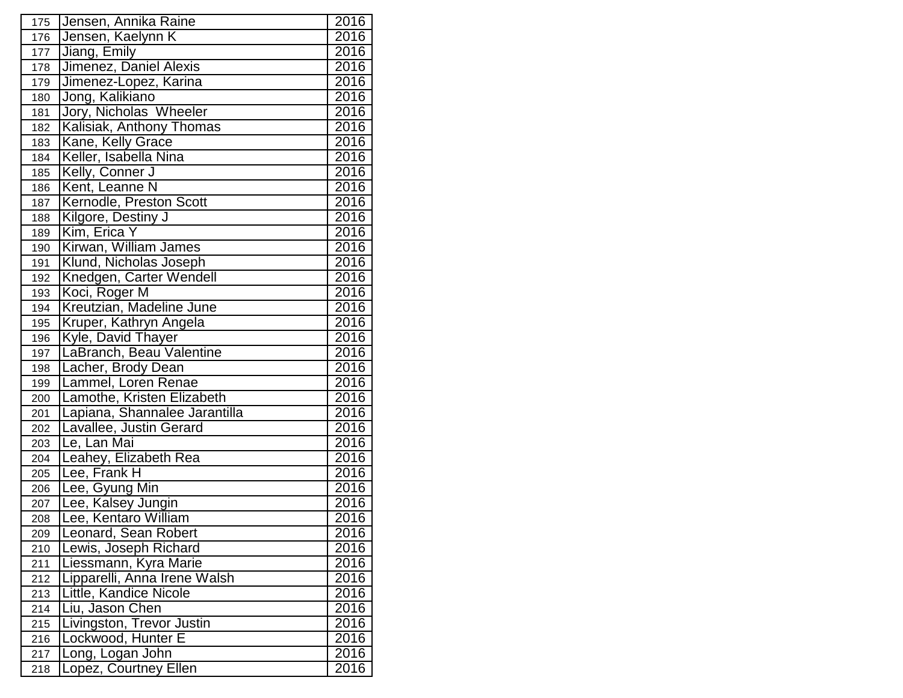| 175 | Jensen, Annika Raine          | 2016              |
|-----|-------------------------------|-------------------|
| 176 | Jensen, Kaelynn K             | 2016              |
| 177 | Jiang, Emily                  | 2016              |
| 178 | Jimenez, Daniel Alexis        | 2016              |
| 179 | Jimenez-Lopez, Karina         | 2016              |
| 180 | Jong, Kalikiano               | 2016              |
| 181 | Jory, Nicholas Wheeler        | 2016              |
| 182 | Kalisiak, Anthony Thomas      | 2016              |
| 183 | Kane, Kelly Grace             | 2016              |
| 184 | Keller, Isabella Nina         | 2016              |
| 185 | Kelly, Conner J               | 2016              |
| 186 | Kent, Leanne N                | 2016              |
| 187 | Kernodle, Preston Scott       | 2016              |
| 188 | Kilgore, Destiny J            | 2016              |
| 189 | Kim, Erica Y                  | 2016              |
| 190 | Kirwan, William James         | 2016              |
| 191 | Klund, Nicholas Joseph        | 2016              |
| 192 | Knedgen, Carter Wendell       | 2016              |
| 193 | Koci, Roger M                 | 2016              |
| 194 | Kreutzian, Madeline June      | 2016              |
| 195 | Kruper, Kathryn Angela        | 2016              |
| 196 | Kyle, David Thayer            | 2016              |
| 197 | LaBranch, Beau Valentine      | 2016              |
| 198 | Lacher, Brody Dean            | 2016              |
| 199 | Lammel, Loren Renae           | 2016              |
| 200 | Lamothe, Kristen Elizabeth    | 2016              |
| 201 | Lapiana, Shannalee Jarantilla | 2016              |
| 202 | Lavallee, Justin Gerard       | 2016              |
| 203 | Le, Lan Mai                   | 2016              |
| 204 | Leahey, Elizabeth Rea         | 2016              |
| 205 | Lee, Frank H                  | 2016              |
| 206 | Lee, Gyung Min                | 2016              |
| 207 | Lee, Kalsey Jungin            | 2016              |
| 208 | Lee, Kentaro William          | 2016              |
| 209 | Leonard, Sean Robert          | 2016              |
| 210 | Lewis, Joseph Richard         | 2016              |
| 211 | Liessmann, Kyra Marie         | $\overline{20}16$ |
| 212 | Lipparelli, Anna Irene Walsh  | 2016              |
| 213 | Little, Kandice Nicole        | 2016              |
| 214 | Liu, Jason Chen               | 2016              |
| 215 | Livingston, Trevor Justin     | 2016              |
| 216 | Lockwood, Hunter E            | 2016              |
| 217 | Long, Logan John              | 2016              |
| 218 | Lopez, Courtney Ellen         | 2016              |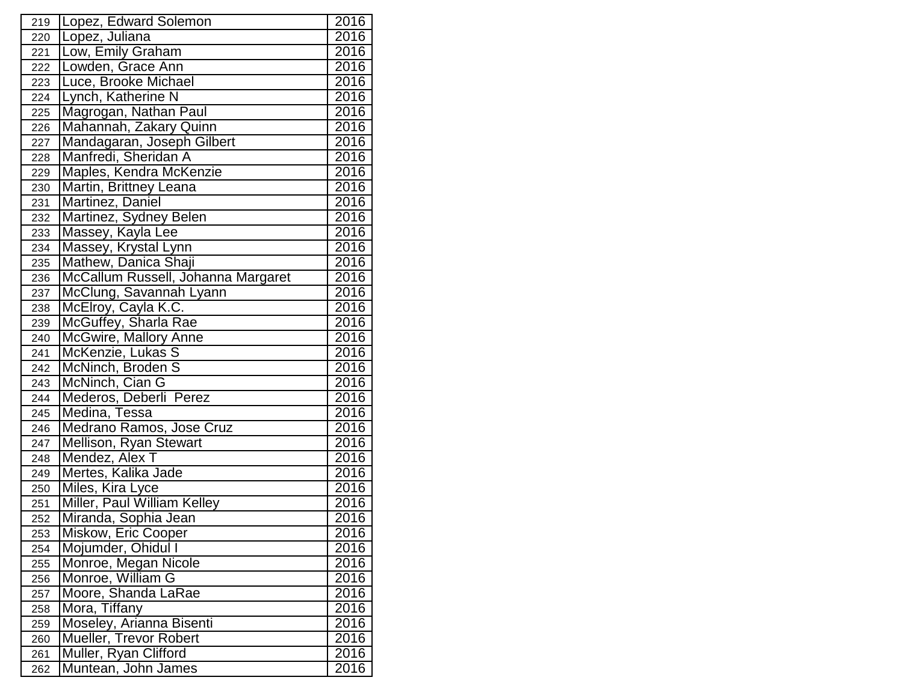| 219 | Lopez, Edward Solemon              | 2016 |
|-----|------------------------------------|------|
| 220 | Lopez, Juliana                     | 2016 |
| 221 | Low, Emily Graham                  | 2016 |
| 222 | Lowden, Grace Ann                  | 2016 |
| 223 | Luce, Brooke Michael               | 2016 |
| 224 | Lynch, Katherine N                 | 2016 |
| 225 | Magrogan, Nathan Paul              | 2016 |
| 226 | Mahannah, Zakary Quinn             | 2016 |
| 227 | Mandagaran, Joseph Gilbert         | 2016 |
| 228 | Manfredi, Sheridan A               | 2016 |
| 229 | Maples, Kendra McKenzie            | 2016 |
| 230 | Martin, Brittney Leana             | 2016 |
| 231 | Martinez, Daniel                   | 2016 |
| 232 | Martinez, Sydney Belen             | 2016 |
| 233 | Massey, Kayla Lee                  | 2016 |
| 234 | Massey, Krystal Lynn               | 2016 |
| 235 | Mathew, Danica Shaji               | 2016 |
| 236 | McCallum Russell, Johanna Margaret | 2016 |
| 237 | McClung, Savannah Lyann            | 2016 |
| 238 | McElroy, Cayla K.C.                | 2016 |
| 239 | McGuffey, Sharla Rae               | 2016 |
| 240 | <b>McGwire, Mallory Anne</b>       | 2016 |
| 241 | McKenzie, Lukas S                  | 2016 |
| 242 | McNinch, Broden S                  | 2016 |
| 243 | McNinch, Cian G                    | 2016 |
| 244 | Mederos, Deberli Perez             | 2016 |
| 245 | Medina, Tessa                      | 2016 |
| 246 | Medrano Ramos, Jose Cruz           | 2016 |
| 247 | Mellison, Ryan Stewart             | 2016 |
| 248 | Mendez, Alex T                     | 2016 |
| 249 | Mertes, Kalika Jade                | 2016 |
| 250 | Miles, Kira Lyce                   | 2016 |
| 251 | Miller, Paul William Kelley        | 2016 |
| 252 | Miranda, Sophia Jean               | 2016 |
| 253 | Miskow, Eric Cooper                | 2016 |
| 254 | Mojumder, Ohidul I                 | 2016 |
| 255 | Monroe, Megan Nicole               | 2016 |
| 256 | Monroe, William G                  | 2016 |
| 257 | Moore, Shanda LaRae                | 2016 |
| 258 | Mora, Tiffany                      | 2016 |
| 259 | Moseley, Arianna Bisenti           | 2016 |
| 260 | Mueller, Trevor Robert             | 2016 |
| 261 | Muller, Ryan Clifford              | 2016 |
| 262 | Muntean, John James                | 2016 |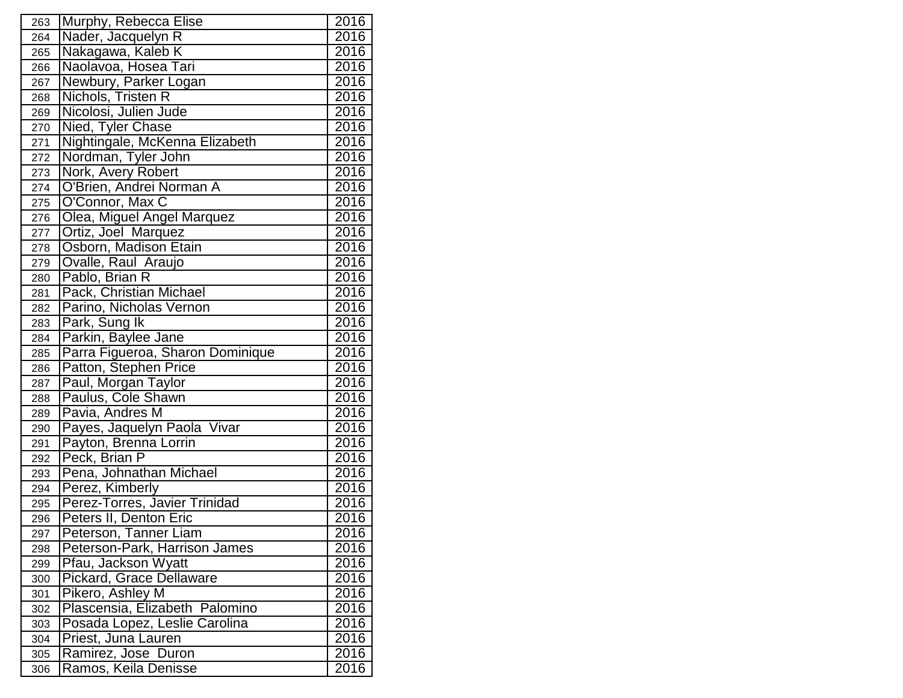| 263 | Murphy, Rebecca Elise            | 2016              |
|-----|----------------------------------|-------------------|
| 264 | Nader, Jacquelyn R               | $\overline{20}16$ |
| 265 | Nakagawa, Kaleb K                | 2016              |
| 266 | Naolavoa, Hosea Tari             | 2016              |
| 267 | Newbury, Parker Logan            | 2016              |
| 268 | Nichols, Tristen R               | 2016              |
| 269 | Nicolosi, Julien Jude            | 2016              |
| 270 | Nied, Tyler Chase                | 2016              |
| 271 | Nightingale, McKenna Elizabeth   | 2016              |
| 272 | Nordman, Tyler John              | 2016              |
| 273 | Nork, Avery Robert               | 2016              |
| 274 | O'Brien, Andrei Norman A         | 2016              |
| 275 | O'Connor, Max C                  | 2016              |
| 276 | Olea, Miguel Angel Marquez       | 2016              |
| 277 | Ortiz, Joel Marquez              | 2016              |
| 278 | Osborn, Madison Etain            | 2016              |
| 279 | Ovalle, Raul Araujo              | 2016              |
| 280 | Pablo, Brian R                   | 2016              |
| 281 | Pack, Christian Michael          | 2016              |
| 282 | Parino, Nicholas Vernon          | 2016              |
| 283 | Park, Sung Ik                    | 2016              |
| 284 | Parkin, Baylee Jane              | 2016              |
| 285 | Parra Figueroa, Sharon Dominique | 2016              |
| 286 | Patton, Stephen Price            | 2016              |
| 287 | Paul, Morgan Taylor              | 2016              |
| 288 | Paulus, Cole Shawn               | 2016              |
| 289 | Pavia, Andres M                  | 2016              |
| 290 | Payes, Jaquelyn Paola Vivar      | 2016              |
| 291 | Payton, Brenna Lorrin            | 2016              |
| 292 | Peck, Brian P                    | 2016              |
| 293 | Pena, Johnathan Michael          | 2016              |
| 294 | Perez, Kimberly                  | 2016              |
| 295 | Perez-Torres, Javier Trinidad    | 2016              |
| 296 | Peters II, Denton Eric           | 2016              |
| 297 | Peterson, Tanner Liam            | 2016              |
| 298 | Peterson-Park, Harrison James    | 2016              |
| 299 | Pfau, Jackson Wyatt              | 2016              |
| 300 | Pickard, Grace Dellaware         | 2016              |
| 301 | Pikero, Ashley M                 | 2016              |
| 302 | Plascensia, Elizabeth Palomino   | 2016              |
| 303 | Posada Lopez, Leslie Carolina    | 2016              |
| 304 | Priest, Juna Lauren              | 2016              |
| 305 | Ramirez, Jose Duron              | 2016              |
| 306 | Ramos, Keila Denisse             | 2016              |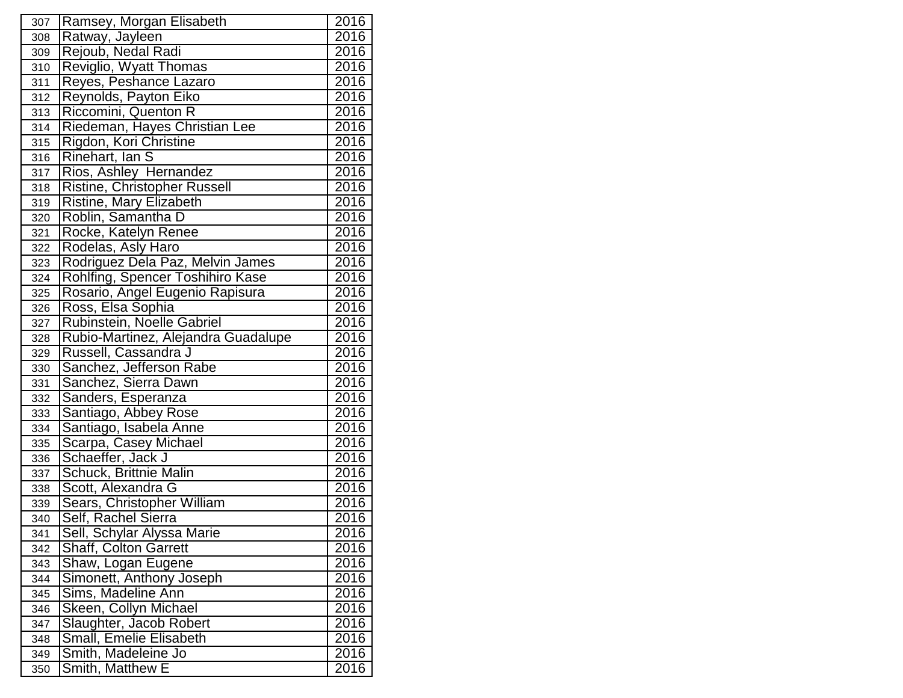| 307 | Ramsey, Morgan Elisabeth            | 2016              |
|-----|-------------------------------------|-------------------|
| 308 | Ratway, Jayleen                     | 2016              |
| 309 | Rejoub, Nedal Radi                  | 2016              |
| 310 | Reviglio, Wyatt Thomas              | 2016              |
| 311 | Reyes, Peshance Lazaro              | 2016              |
| 312 | Reynolds, Payton Eiko               | 2016              |
| 313 | Riccomini, Quenton R                | 2016              |
| 314 | Riedeman, Hayes Christian Lee       | 2016              |
| 315 | Rigdon, Kori Christine              | 2016              |
| 316 | Rinehart, Ian S                     | 2016              |
| 317 | Rios, Ashley Hernandez              | 2016              |
| 318 | <b>Ristine, Christopher Russell</b> | 2016              |
| 319 | Ristine, Mary Elizabeth             | 2016              |
| 320 | Roblin, Samantha D                  | 2016              |
| 321 | Rocke, Katelyn Renee                | 2016              |
| 322 | Rodelas, Asly Haro                  | 2016              |
| 323 | Rodriguez Dela Paz, Melvin James    | 2016              |
| 324 | Rohlfing, Spencer Toshihiro Kase    | 2016              |
| 325 | Rosario, Angel Eugenio Rapisura     | 2016              |
| 326 | Ross, Elsa Sophia                   | 2016              |
| 327 | Rubinstein, Noelle Gabriel          | 2016              |
| 328 | Rubio-Martinez, Alejandra Guadalupe | 2016              |
| 329 | Russell, Cassandra J                | 2016              |
| 330 | Sanchez, Jefferson Rabe             | 2016              |
| 331 | Sanchez, Sierra Dawn                | 2016              |
| 332 | Sanders, Esperanza                  | 2016              |
| 333 | Santiago, Abbey Rose                | 2016              |
| 334 | Santiago, Isabela Anne              | 2016              |
| 335 | Scarpa, Casey Michael               | 2016              |
| 336 | Schaeffer, Jack J                   | 2016              |
| 337 | Schuck, Brittnie Malin              | 2016              |
| 338 | Scott, Alexandra G                  | 2016              |
| 339 | Sears, Christopher William          | 2016              |
| 340 | Self, Rachel Sierra                 | 2016              |
| 341 | Sell, Schylar Alyssa Marie          | 2016              |
| 342 | <b>Shaff, Colton Garrett</b>        | 2016              |
| 343 | Shaw, Logan Eugene                  | 2016              |
| 344 | Simonett, Anthony Joseph            | 2016              |
| 345 | Sims, Madeline Ann                  | $20\overline{16}$ |
| 346 | Skeen, Collyn Michael               | $20\overline{16}$ |
| 347 | Slaughter, Jacob Robert             | 2016              |
| 348 | Small, Emelie Elisabeth             | 2016              |
| 349 | Smith, Madeleine Jo                 | 2016              |
| 350 | Smith, Matthew E                    | 2016              |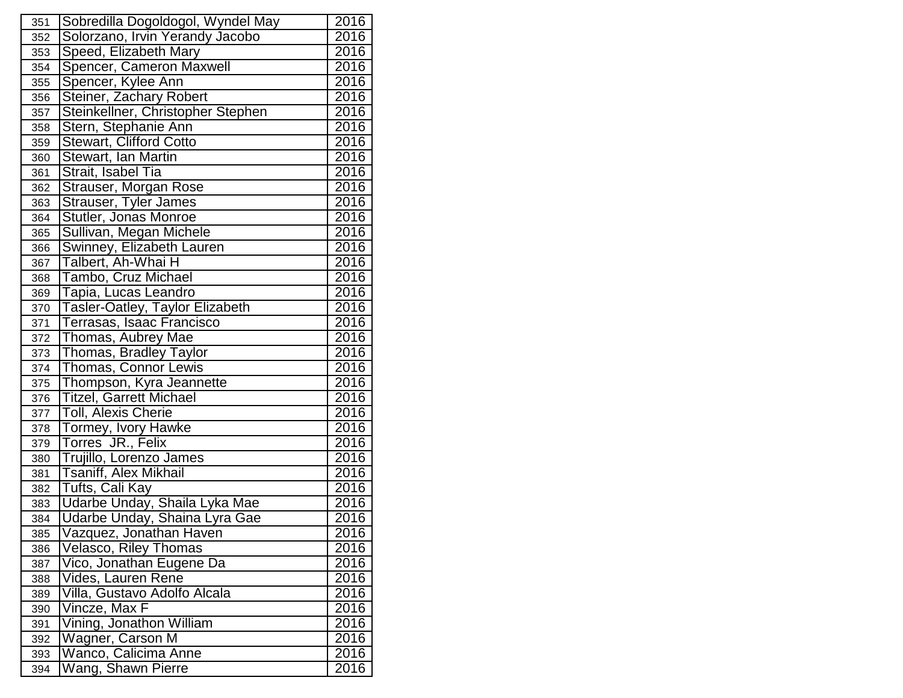| 351 | Sobredilla Dogoldogol, Wyndel May      | 2016 |
|-----|----------------------------------------|------|
| 352 | Solorzano, Irvin Yerandy Jacobo        | 2016 |
| 353 | Speed, Elizabeth Mary                  | 2016 |
| 354 | Spencer, Cameron Maxwell               | 2016 |
| 355 | Spencer, Kylee Ann                     | 2016 |
| 356 | Steiner, Zachary Robert                | 2016 |
| 357 | Steinkellner, Christopher Stephen      | 2016 |
| 358 | Stern, Stephanie Ann                   | 2016 |
| 359 | <b>Stewart, Clifford Cotto</b>         | 2016 |
| 360 | Stewart, Ian Martin                    | 2016 |
| 361 | Strait, Isabel Tia                     | 2016 |
| 362 | Strauser, Morgan Rose                  | 2016 |
| 363 | Strauser, Tyler James                  | 2016 |
| 364 | Stutler, Jonas Monroe                  | 2016 |
| 365 | Sullivan, Megan Michele                | 2016 |
| 366 | Swinney, Elizabeth Lauren              | 2016 |
| 367 | Talbert, Ah-Whai H                     | 2016 |
| 368 | Tambo, Cruz Michael                    | 2016 |
| 369 | Tapia, Lucas Leandro                   | 2016 |
| 370 | <b>Tasler-Oatley, Taylor Elizabeth</b> | 2016 |
| 371 | Terrasas, Isaac Francisco              | 2016 |
| 372 | Thomas, Aubrey Mae                     | 2016 |
| 373 | Thomas, Bradley Taylor                 | 2016 |
| 374 | Thomas, Connor Lewis                   | 2016 |
| 375 | Thompson, Kyra Jeannette               | 2016 |
| 376 | <b>Titzel, Garrett Michael</b>         | 2016 |
| 377 | <b>Toll, Alexis Cherie</b>             | 2016 |
| 378 | Tormey, Ivory Hawke                    | 2016 |
| 379 | Torres JR., Felix                      | 2016 |
| 380 | Trujillo, Lorenzo James                | 2016 |
| 381 | Tsaniff, Alex Mikhail                  | 2016 |
| 382 | Tufts, Cali Kay                        | 2016 |
| 383 | Udarbe Unday, Shaila Lyka Mae          | 2016 |
| 384 | Udarbe Unday, Shaina Lyra Gae          | 2016 |
| 385 | Vazquez, Jonathan Haven                | 2016 |
| 386 | <b>Velasco, Riley Thomas</b>           | 2016 |
| 387 | Vico, Jonathan Eugene Da               | 2016 |
| 388 | Vides, Lauren Rene                     | 2016 |
| 389 | Villa, Gustavo Adolfo Alcala           | 2016 |
| 390 | Vincze, Max F                          | 2016 |
| 391 | Vining, Jonathon William               | 2016 |
| 392 | Wagner, Carson M                       | 2016 |
| 393 | Wanco, Calicima Anne                   | 2016 |
| 394 | Wang, Shawn Pierre                     | 2016 |